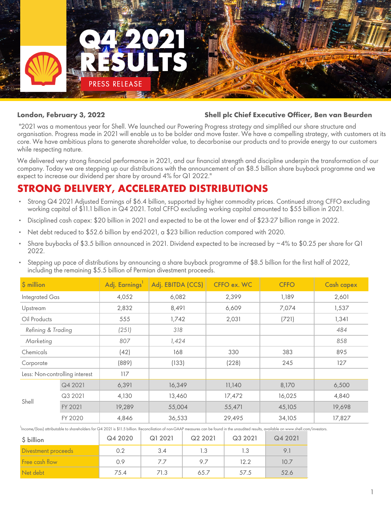

#### **London, February 3, 2022 Shell plc Chief Executive Officer, Ben van Beurden**

 "2021 was a momentous year for Shell. We launched our Powering Progress strategy and simplified our share structure and organisation. Progress made in 2021 will enable us to be bolder and move faster. We have a compelling strategy, with customers at its core. We have ambitious plans to generate shareholder value, to decarbonise our products and to provide energy to our customers while respecting nature.

We delivered very strong financial performance in 2021, and our financial strength and discipline underpin the transformation of our company. Today we are stepping up our distributions with the announcement of an \$8.5 billion share buyback programme and we expect to increase our dividend per share by around 4% for Q1 2022."

# **STRONG DELIVERY, ACCELERATED DISTRIBUTIONS**

- Strong Q4 2021 Adjusted Earnings of \$6.4 billion, supported by higher commodity prices. Continued strong CFFO excluding working capital of \$11.1 billion in Q4 2021. Total CFFO excluding working capital amounted to \$55 billion in 2021.
- Disciplined cash capex: \$20 billion in 2021 and expected to be at the lower end of \$23-27 billion range in 2022.
- Net debt reduced to \$52.6 billion by end-2021, a \$23 billion reduction compared with 2020.
- Share buybacks of \$3.5 billion announced in 2021. Dividend expected to be increased by  $\sim$ 4% to \$0.25 per share for Q1 2022.
- Stepping up pace of distributions by announcing a share buyback programme of \$8.5 billion for the first half of 2022, including the remaining \$5.5 billion of Permian divestment proceeds.

| $$$ million                    |         | Adj. Earnings <sup>1</sup> | Adj. EBITDA (CCS) | CFFO ex. WC | <b>CFFO</b> | <b>Cash capex</b> |
|--------------------------------|---------|----------------------------|-------------------|-------------|-------------|-------------------|
| Integrated Gas                 |         | 4,052                      | 6,082             | 2,399       | 1,189       | 2,601             |
| Upstream                       |         | 2,832                      | 8,491             | 6,609       | 7,074       | 1,537             |
| Oil Products                   |         | 555                        | 1,742             | 2,031       | (721)       | 1,341             |
| Refining & Trading             |         | (251)                      | 318               |             |             | 484               |
| Marketing                      |         | 807                        | 1,424             |             |             | 858               |
| Chemicals                      |         | (42)                       | 168               | 330         | 383         | 895               |
| Corporate                      |         | (889)                      | (133)             | (228)       | 245         | 127               |
| Less: Non-controlling interest |         | 117                        |                   |             |             |                   |
|                                | Q4 2021 | 6,391                      | 16,349            | 11,140      | 8,170       | 6,500             |
| Shell                          | Q3 2021 | 4,130                      | 13,460            | 17,472      | 16,025      | 4,840             |
|                                | FY 2021 | 19,289                     | 55,004            | 55,471      | 45,105      | 19,698            |
|                                | FY 2020 | 4,846                      | 36,533            | 29,495      | 34,105      | 17,827            |

<sup>1</sup><br>Income/(loss) attributable to shareholders for Q4 2021 is \$11.5 billion. Reconciliation of non-GAAP measures can be found in the unaudited results, available on www.shell.com/investors.

| \$ billion          | Q4 2020 | Q1 2021 | Q2 2021 | Q3 2021 | Q4 2021 |
|---------------------|---------|---------|---------|---------|---------|
| Divestment proceeds | 0.2     | 3.4     | 1.3     | 1.3     |         |
| Free cash flow      | 0.9     | 77      | 97      | 12.2    | 10.7    |
| Net debt            | 75.4    | 71.3    | 65.7    | 57.5    | 52.6    |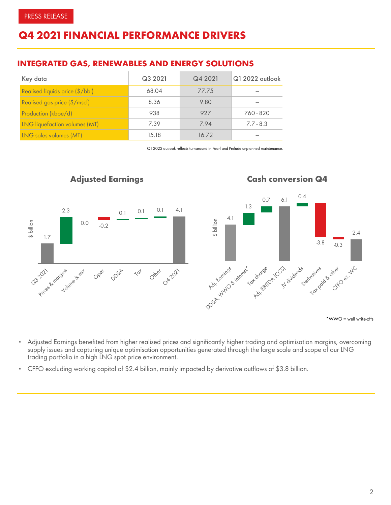# **Q4 2021 FINANCIAL PERFORMANCE DRIVERS**

### **INTEGRATED GAS, RENEWABLES AND ENERGY SOLUTIONS**

| Key data                        | Q3 2021 | Q4 2021 | Q1 2022 outlook |
|---------------------------------|---------|---------|-----------------|
| Realised liquids price (\$/bbl) | 68.04   | 77.75   |                 |
| Realised gas price (\$/mscf)    | 8.36    | 9.80    |                 |
| Production (kboe/d)             | 938     | 927     | 760 - 820       |
| LNG liquefaction volumes (MT)   | 7.39    | 7.94    | $7.7 - 8.3$     |
| LNG sales volumes (MT)          | 15.18   | 16.72   |                 |

*Q1 2022 outlook reflects turnaround in Pearl and Prelude unplanned maintenance.*



- Adjusted Earnings benefited from higher realised prices and significantly higher trading and optimisation margins, overcoming supply issues and capturing unique optimisation opportunities generated through the large scale and scope of our LNG trading portfolio in a high LNG spot price environment.
- CFFO excluding working capital of \$2.4 billion, mainly impacted by derivative outflows of \$3.8 billion.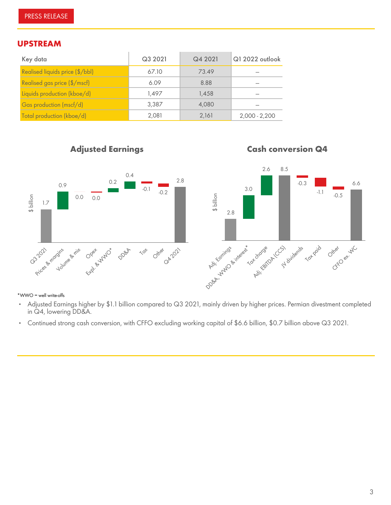#### **UPSTREAM**

| Key data                        | Q3 2021 | Q4 2021 | Q1 2022 outlook |
|---------------------------------|---------|---------|-----------------|
| Realised liquids price (\$/bbl) | 67.10   | 73.49   |                 |
| Realised gas price (\$/mscf)    | 6.09    | 8.88    |                 |
| Liquids production (kboe/d)     | 1.497   | 1.458   |                 |
| Gas production (mscf/d)         | 3,387   | 4.080   |                 |
| Total production (kboe/d)       | 2,081   | 2,161   | $2,000 - 2,200$ |

## *Adjusted Earnings*

*Cash conversion Q4*



#### \*WWO = well write-offs

- Adjusted Earnings higher by \$1.1 billion compared to Q3 2021, mainly driven by higher prices. Permian divestment completed in Q4, lowering DD&A.
- Continued strong cash conversion, with CFFO excluding working capital of \$6.6 billion, \$0.7 billion above Q3 2021.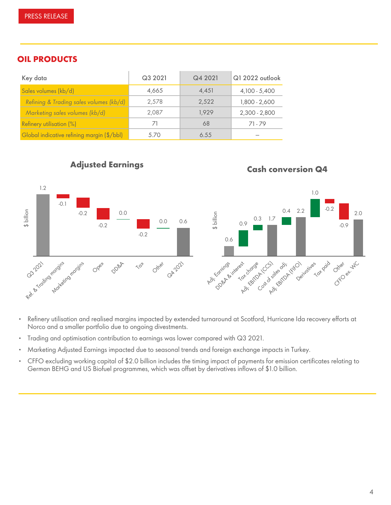### **OIL PRODUCTS**

| Key data                                   | Q3 2021 | Q4 2021 | Q1 2022 outlook |
|--------------------------------------------|---------|---------|-----------------|
| Sales volumes (kb/d)                       | 4.665   | 4.451   | 4,100 - 5,400   |
| Refining & Trading sales volumes (kb/d)    | 2,578   | 2,522   | 1,800 - 2,600   |
| Marketing sales volumes (kb/d)             | 2,087   | 1.929   | $2,300 - 2,800$ |
| Refinery utilisation (%)                   | 71      | 68      | 71.79           |
| Global indicative refining margin (\$/bbl) | 5.70    | 6.55    |                 |



*Cash conversion Q4*

*Adjusted Earnings*

- Refinery utilisation and realised margins impacted by extended turnaround at Scotford, Hurricane Ida recovery efforts at Norco and a smaller portfolio due to ongoing divestments.
- Trading and optimisation contribution to earnings was lower compared with Q3 2021.
- Marketing Adjusted Earnings impacted due to seasonal trends and foreign exchange impacts in Turkey.
- CFFO excluding working capital of \$2.0 billion includes the timing impact of payments for emission certificates relating to German BEHG and US Biofuel programmes, which was offset by derivatives inflows of \$1.0 billion.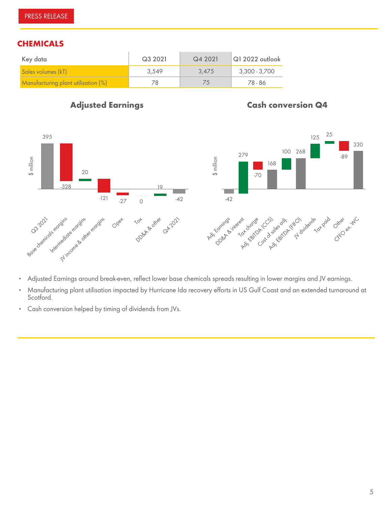# **CHEMICALS**

| Key data                            | Q3 2021 | Q4 2021 | $\sqrt{Q}$ 1 2022 outlook |
|-------------------------------------|---------|---------|---------------------------|
| Sales volumes (kT)                  | 3,549   | 3.475   | 3,300 - 3,700             |
| Manufacturing plant utilisation (%) | 78      | /5      | 78 - 86                   |

### *Adjusted Earnings*

# *Cash conversion Q4*





- Adjusted Earnings around break-even, reflect lower base chemicals spreads resulting in lower margins and JV earnings.
- Manufacturing plant utilisation impacted by Hurricane Ida recovery efforts in US Gulf Coast and an extended turnaround at Scotford.
- Cash conversion helped by timing of dividends from JVs.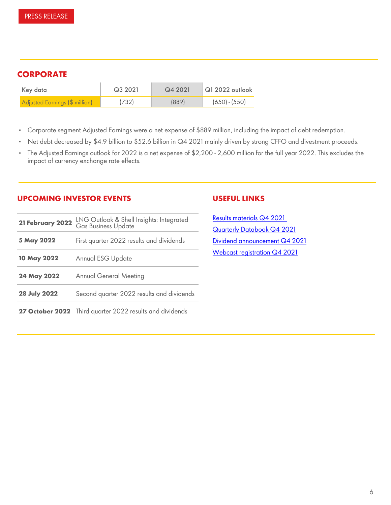# **CORPORATE**

| Key data                       | Q3 2021 | Q4 2021 | $\vert$ Q1 2022 outlook |
|--------------------------------|---------|---------|-------------------------|
| Adjusted Earnings (\$ million) | (732)   | (889)   | $(650) - (550)$         |

- *Corporate segment Adjusted Earnings were a net expense of \$889 million, including the impact of debt redemption*.
- *Net debt decreased by \$4.9 billion to \$52.6 billion in Q4 2021 mainly driven by strong* CFFO and divestment proceeds*.*
- *The Adjusted Earnings outlook for 2022 is a net expense of \$2,200 2,600 million for the full year 2022. This excludes the impact of currency exchange rate effects.*

#### **UPCOMING INVESTOR EVENTS**

| 21 February 2022    | LNG Outlook & Shell Insights: Integrated<br>Gas Business Update |
|---------------------|-----------------------------------------------------------------|
| 5 May 2022          | First quarter 2022 results and dividends                        |
| 10 May 2022         | <b>Annual ESG Update</b>                                        |
| 24 May 2022         | <b>Annual General Meeting</b>                                   |
| <b>28 July 2022</b> | Second quarter 2022 results and dividends                       |
|                     | 27 October 2022 Third quarter 2022 results and dividends        |

#### **USEFUL LINKS**

[Results materials Q4 2021](https://www.shell.com/investors/results-and-reporting/quarterly-results/2021/q4-2021.html)  [Quarterly Databook Q4 2021](https://www.shell.com/investors/results-and-reporting/data-supplements.html#iframe=L2NnLWlmcmFtZS9hbm51YWwtcmVwb3J0LzIwMjAvIy9kYXRhc2hlZXRfc2hlbGxfYXIvbGluZS8xMiwxMywxNS8wLDEsMiwzLDQvcGVyaW9kcy8w) [Dividend announcement Q4 2021](https://www.shell.com/investors/dividend-information/dividend-announcements/fourth-quarter-2021-interim-dividend.html) [Webcast registration Q4 2021](https://webcast.shell.com/live/ee05ba03-0c5d-41ec-828f-4f745c8fedfd/public/)